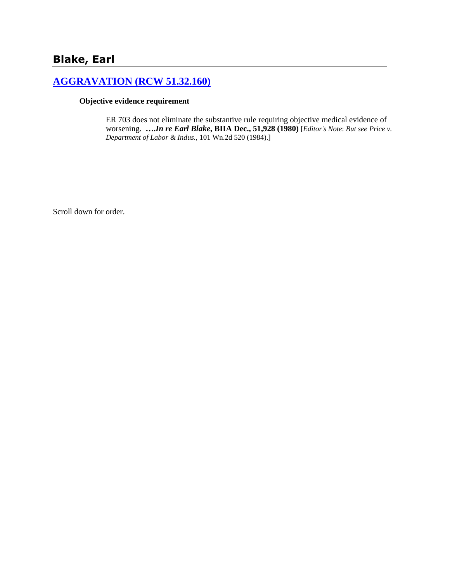# **Blake, Earl**

### **[AGGRAVATION \(RCW 51.32.160\)](http://www.biia.wa.gov/SDSubjectIndex.html#AGGRAVATION)**

#### **Objective evidence requirement**

ER 703 does not eliminate the substantive rule requiring objective medical evidence of worsening. **….***In re Earl Blake***, BIIA Dec., 51,928 (1980)** [*Editor's Note*: *But see Price v. Department of Labor & Indus.,* 101 Wn.2d 520 (1984).]

Scroll down for order.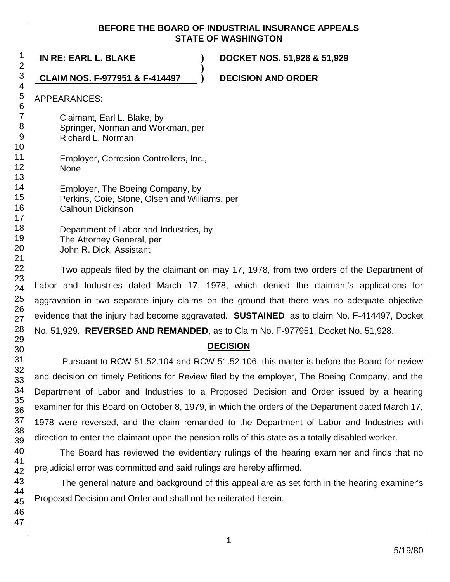#### **BEFORE THE BOARD OF INDUSTRIAL INSURANCE APPEALS STATE OF WASHINGTON**

**)**

**IN RE: EARL L. BLAKE ) DOCKET NOS. 51,928 & 51,929**

### **CLAIM NOS. F-977951 & F-414497 ) DECISION AND ORDER**

APPEARANCES:

Claimant, Earl L. Blake, by Springer, Norman and Workman, per Richard L. Norman

Employer, Corrosion Controllers, Inc., None

Employer, The Boeing Company, by Perkins, Coie, Stone, Olsen and Williams, per Calhoun Dickinson

Department of Labor and Industries, by The Attorney General, per John R. Dick, Assistant

Two appeals filed by the claimant on may 17, 1978, from two orders of the Department of Labor and Industries dated March 17, 1978, which denied the claimant's applications for aggravation in two separate injury claims on the ground that there was no adequate objective evidence that the injury had become aggravated. **SUSTAINED**, as to claim No. F-414497, Docket No. 51,929. **REVERSED AND REMANDED**, as to Claim No. F-977951, Docket No. 51,928.

## **DECISION**

Pursuant to RCW 51.52.104 and RCW 51.52.106, this matter is before the Board for review and decision on timely Petitions for Review filed by the employer, The Boeing Company, and the Department of Labor and Industries to a Proposed Decision and Order issued by a hearing examiner for this Board on October 8, 1979, in which the orders of the Department dated March 17, 1978 were reversed, and the claim remanded to the Department of Labor and Industries with direction to enter the claimant upon the pension rolls of this state as a totally disabled worker.

The Board has reviewed the evidentiary rulings of the hearing examiner and finds that no prejudicial error was committed and said rulings are hereby affirmed.

The general nature and background of this appeal are as set forth in the hearing examiner's Proposed Decision and Order and shall not be reiterated herein.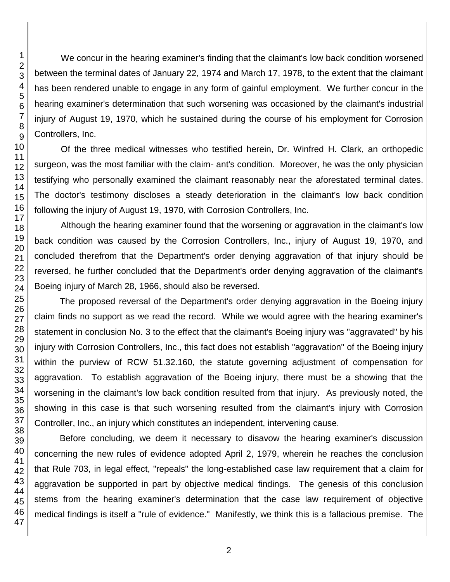We concur in the hearing examiner's finding that the claimant's low back condition worsened between the terminal dates of January 22, 1974 and March 17, 1978, to the extent that the claimant has been rendered unable to engage in any form of gainful employment. We further concur in the hearing examiner's determination that such worsening was occasioned by the claimant's industrial injury of August 19, 1970, which he sustained during the course of his employment for Corrosion Controllers, Inc.

Of the three medical witnesses who testified herein, Dr. Winfred H. Clark, an orthopedic surgeon, was the most familiar with the claim- ant's condition. Moreover, he was the only physician testifying who personally examined the claimant reasonably near the aforestated terminal dates. The doctor's testimony discloses a steady deterioration in the claimant's low back condition following the injury of August 19, 1970, with Corrosion Controllers, Inc.

Although the hearing examiner found that the worsening or aggravation in the claimant's low back condition was caused by the Corrosion Controllers, Inc., injury of August 19, 1970, and concluded therefrom that the Department's order denying aggravation of that injury should be reversed, he further concluded that the Department's order denying aggravation of the claimant's Boeing injury of March 28, 1966, should also be reversed.

The proposed reversal of the Department's order denying aggravation in the Boeing injury claim finds no support as we read the record. While we would agree with the hearing examiner's statement in conclusion No. 3 to the effect that the claimant's Boeing injury was "aggravated" by his injury with Corrosion Controllers, Inc., this fact does not establish "aggravation" of the Boeing injury within the purview of RCW 51.32.160, the statute governing adjustment of compensation for aggravation. To establish aggravation of the Boeing injury, there must be a showing that the worsening in the claimant's low back condition resulted from that injury. As previously noted, the showing in this case is that such worsening resulted from the claimant's injury with Corrosion Controller, Inc., an injury which constitutes an independent, intervening cause.

Before concluding, we deem it necessary to disavow the hearing examiner's discussion concerning the new rules of evidence adopted April 2, 1979, wherein he reaches the conclusion that Rule 703, in legal effect, "repeals" the long-established case law requirement that a claim for aggravation be supported in part by objective medical findings. The genesis of this conclusion stems from the hearing examiner's determination that the case law requirement of objective medical findings is itself a "rule of evidence." Manifestly, we think this is a fallacious premise. The